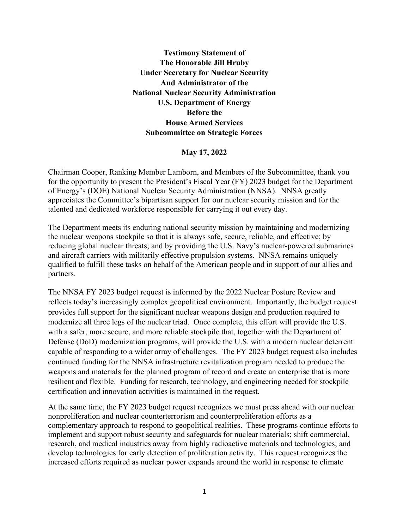**Testimony Statement of The Honorable Jill Hruby Under Secretary for Nuclear Security And Administrator of the National Nuclear Security Administration U.S. Department of Energy Before the House Armed Services Subcommittee on Strategic Forces**

**May 17, 2022**

Chairman Cooper, Ranking Member Lamborn, and Members of the Subcommittee, thank you for the opportunity to present the President's Fiscal Year (FY) 2023 budget for the Department of Energy's (DOE) National Nuclear Security Administration (NNSA). NNSA greatly appreciates the Committee's bipartisan support for our nuclear security mission and for the talented and dedicated workforce responsible for carrying it out every day.

The Department meets its enduring national security mission by maintaining and modernizing the nuclear weapons stockpile so that it is always safe, secure, reliable, and effective; by reducing global nuclear threats; and by providing the U.S. Navy's nuclear-powered submarines and aircraft carriers with militarily effective propulsion systems. NNSA remains uniquely qualified to fulfill these tasks on behalf of the American people and in support of our allies and partners.

The NNSA FY 2023 budget request is informed by the 2022 Nuclear Posture Review and reflects today's increasingly complex geopolitical environment. Importantly, the budget request provides full support for the significant nuclear weapons design and production required to modernize all three legs of the nuclear triad. Once complete, this effort will provide the U.S. with a safer, more secure, and more reliable stockpile that, together with the Department of Defense (DoD) modernization programs, will provide the U.S. with a modern nuclear deterrent capable of responding to a wider array of challenges. The FY 2023 budget request also includes continued funding for the NNSA infrastructure revitalization program needed to produce the weapons and materials for the planned program of record and create an enterprise that is more resilient and flexible. Funding for research, technology, and engineering needed for stockpile certification and innovation activities is maintained in the request.

At the same time, the FY 2023 budget request recognizes we must press ahead with our nuclear nonproliferation and nuclear counterterrorism and counterproliferation efforts as a complementary approach to respond to geopolitical realities. These programs continue efforts to implement and support robust security and safeguards for nuclear materials; shift commercial, research, and medical industries away from highly radioactive materials and technologies; and develop technologies for early detection of proliferation activity. This request recognizes the increased efforts required as nuclear power expands around the world in response to climate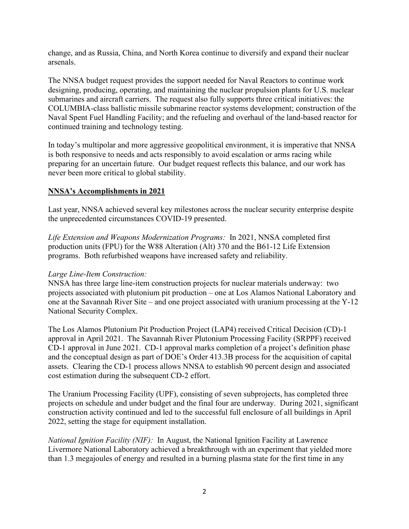change, and as Russia, China, and North Korea continue to diversify and expand their nuclear arsenals.

The NNSA budget request provides the support needed for Naval Reactors to continue work designing, producing, operating, and maintaining the nuclear propulsion plants for U.S. nuclear submarines and aircraft carriers. The request also fully supports three critical initiatives: the COLUMBIA-class ballistic missile submarine reactor systems development; construction of the Naval Spent Fuel Handling Facility; and the refueling and overhaul of the land-based reactor for continued training and technology testing.

In today's multipolar and more aggressive geopolitical environment, it is imperative that NNSA is both responsive to needs and acts responsibly to avoid escalation or arms racing while preparing for an uncertain future. Our budget request reflects this balance, and our work has never been more critical to global stability.

#### **NNSA's Accomplishments in 2021**

Last year, NNSA achieved several key milestones across the nuclear security enterprise despite the unprecedented circumstances COVID-19 presented.

*Life Extension and Weapons Modernization Programs:* In 2021, NNSA completed first production units (FPU) for the W88 Alteration (Alt) 370 and the B61-12 Life Extension programs. Both refurbished weapons have increased safety and reliability.

### *Large Line-Item Construction:*

NNSA has three large line-item construction projects for nuclear materials underway: two projects associated with plutonium pit production – one at Los Alamos National Laboratory and one at the Savannah River Site – and one project associated with uranium processing at the Y-12 National Security Complex.

The Los Alamos Plutonium Pit Production Project (LAP4) received Critical Decision (CD)-1 approval in April 2021. The Savannah River Plutonium Processing Facility (SRPPF) received CD-1 approval in June 2021. CD-1 approval marks completion of a project's definition phase and the conceptual design as part of DOE's Order 413.3B process for the acquisition of capital assets. Clearing the CD-1 process allows NNSA to establish 90 percent design and associated cost estimation during the subsequent CD-2 effort.

The Uranium Processing Facility (UPF), consisting of seven subprojects, has completed three projects on schedule and under budget and the final four are underway. During 2021, significant construction activity continued and led to the successful full enclosure of all buildings in April 2022, setting the stage for equipment installation.

*National Ignition Facility (NIF):* In August, the National Ignition Facility at Lawrence Livermore National Laboratory achieved a breakthrough with an experiment that yielded more than 1.3 megajoules of energy and resulted in a burning plasma state for the first time in any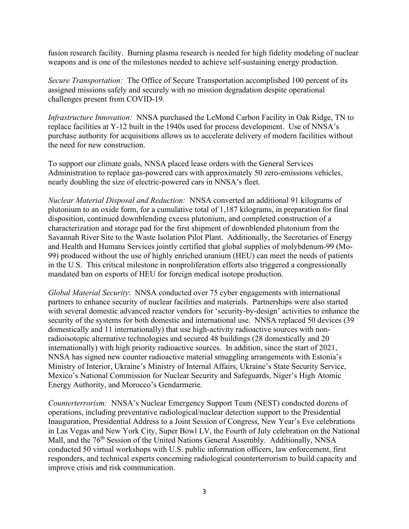fusion research facility. Burning plasma research is needed for high fidelity modeling of nuclear weapons and is one of the milestones needed to achieve self-sustaining energy production.

*Secure Transportation:* The Office of Secure Transportation accomplished 100 percent of its assigned missions safely and securely with no mission degradation despite operational challenges present from COVID-19.

*Infrastructure Innovation:* NNSA purchased the LeMond Carbon Facility in Oak Ridge, TN to replace facilities at Y-12 built in the 1940s used for process development. Use of NNSA's purchase authority for acquisitions allows us to accelerate delivery of modern facilities without the need for new construction.

To support our climate goals, NNSA placed lease orders with the General Services Administration to replace gas-powered cars with approximately 50 zero-emissions vehicles, nearly doubling the size of electric-powered cars in NNSA's fleet.

*Nuclear Material Disposal and Reduction:* NNSA converted an additional 91 kilograms of plutonium to an oxide form, for a cumulative total of 1,187 kilograms, in preparation for final disposition, continued downblending excess plutonium, and completed construction of a characterization and storage pad for the first shipment of downblended plutonium from the Savannah River Site to the Waste Isolation Pilot Plant. Additionally, the Secretaries of Energy and Health and Humans Services jointly certified that global supplies of molybdenum-99 (Mo-99) produced without the use of highly enriched uranium (HEU) can meet the needs of patients in the U.S. This critical milestone in nonproliferation efforts also triggered a congressionally mandated ban on exports of HEU for foreign medical isotope production.

*Global Material Security*: NNSA conducted over 75 cyber engagements with international partners to enhance security of nuclear facilities and materials. Partnerships were also started with several domestic advanced reactor vendors for 'security-by-design' activities to enhance the security of the systems for both domestic and international use. NNSA replaced 50 devices (39 domestically and 11 internationally) that use high-activity radioactive sources with nonradioisotopic alternative technologies and secured 48 buildings (28 domestically and 20 internationally) with high priority radioactive sources. In addition, since the start of 2021, NNSA has signed new counter radioactive material smuggling arrangements with Estonia's Ministry of Interior, Ukraine's Ministry of Internal Affairs, Ukraine's State Security Service, Mexico's National Commission for Nuclear Security and Safeguards, Niger's High Atomic Energy Authority, and Morocco's Gendarmerie.

*Counterterrorism:* NNSA's Nuclear Emergency Support Team (NEST) conducted dozens of operations, including preventative radiological/nuclear detection support to the Presidential Inauguration, Presidential Address to a Joint Session of Congress, New Year's Eve celebrations in Las Vegas and New York City, Super Bowl LV, the Fourth of July celebration on the National Mall, and the 76<sup>th</sup> Session of the United Nations General Assembly. Additionally, NNSA conducted 50 virtual workshops with U.S. public information officers, law enforcement, first responders, and technical experts concerning radiological counterterrorism to build capacity and improve crisis and risk communication.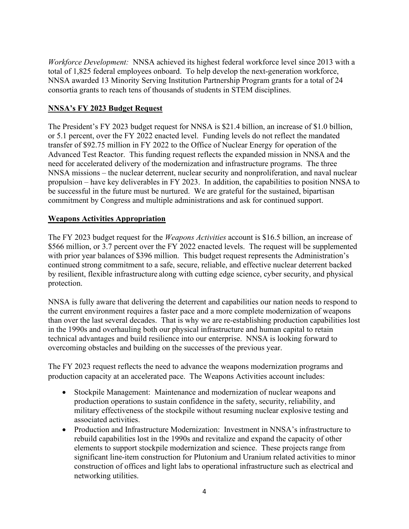*Workforce Development:* NNSA achieved its highest federal workforce level since 2013 with a total of 1,825 federal employees onboard. To help develop the next-generation workforce, NNSA awarded 13 Minority Serving Institution Partnership Program grants for a total of 24 consortia grants to reach tens of thousands of students in STEM disciplines.

### **NNSA's FY 2023 Budget Request**

The President's FY 2023 budget request for NNSA is \$21.4 billion, an increase of \$1.0 billion, or 5.1 percent, over the FY 2022 enacted level. Funding levels do not reflect the mandated transfer of \$92.75 million in FY 2022 to the Office of Nuclear Energy for operation of the Advanced Test Reactor. This funding request reflects the expanded mission in NNSA and the need for accelerated delivery of the modernization and infrastructure programs. The three NNSA missions – the nuclear deterrent, nuclear security and nonproliferation, and naval nuclear propulsion – have key deliverables in FY 2023. In addition, the capabilities to position NNSA to be successful in the future must be nurtured. We are grateful for the sustained, bipartisan commitment by Congress and multiple administrations and ask for continued support.

## **Weapons Activities Appropriation**

The FY 2023 budget request for the *Weapons Activities* account is \$16.5 billion, an increase of \$566 million, or 3.7 percent over the FY 2022 enacted levels. The request will be supplemented with prior year balances of \$396 million. This budget request represents the Administration's continued strong commitment to a safe, secure, reliable, and effective nuclear deterrent backed by resilient, flexible infrastructure along with cutting edge science, cyber security, and physical protection.

NNSA is fully aware that delivering the deterrent and capabilities our nation needs to respond to the current environment requires a faster pace and a more complete modernization of weapons than over the last several decades. That is why we are re-establishing production capabilities lost in the 1990s and overhauling both our physical infrastructure and human capital to retain technical advantages and build resilience into our enterprise. NNSA is looking forward to overcoming obstacles and building on the successes of the previous year.

The FY 2023 request reflects the need to advance the weapons modernization programs and production capacity at an accelerated pace. The Weapons Activities account includes:

- Stockpile Management: Maintenance and modernization of nuclear weapons and production operations to sustain confidence in the safety, security, reliability, and military effectiveness of the stockpile without resuming nuclear explosive testing and associated activities.
- Production and Infrastructure Modernization: Investment in NNSA's infrastructure to rebuild capabilities lost in the 1990s and revitalize and expand the capacity of other elements to support stockpile modernization and science. These projects range from significant line-item construction for Plutonium and Uranium related activities to minor construction of offices and light labs to operational infrastructure such as electrical and networking utilities.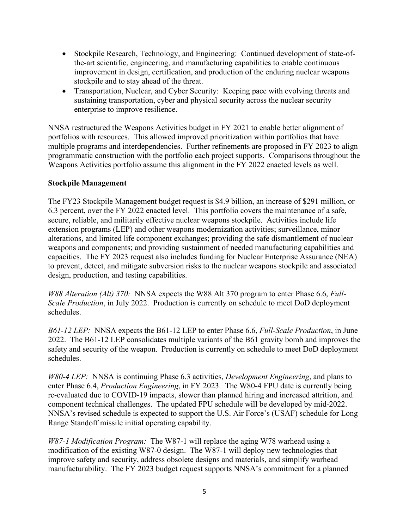- Stockpile Research, Technology, and Engineering: Continued development of state-ofthe-art scientific, engineering, and manufacturing capabilities to enable continuous improvement in design, certification, and production of the enduring nuclear weapons stockpile and to stay ahead of the threat.
- Transportation, Nuclear, and Cyber Security: Keeping pace with evolving threats and sustaining transportation, cyber and physical security across the nuclear security enterprise to improve resilience.

NNSA restructured the Weapons Activities budget in FY 2021 to enable better alignment of portfolios with resources. This allowed improved prioritization within portfolios that have multiple programs and interdependencies. Further refinements are proposed in FY 2023 to align programmatic construction with the portfolio each project supports. Comparisons throughout the Weapons Activities portfolio assume this alignment in the FY 2022 enacted levels as well.

### **Stockpile Management**

The FY23 Stockpile Management budget request is \$4.9 billion, an increase of \$291 million, or 6.3 percent, over the FY 2022 enacted level. This portfolio covers the maintenance of a safe, secure, reliable, and militarily effective nuclear weapons stockpile. Activities include life extension programs (LEP) and other weapons modernization activities; surveillance, minor alterations, and limited life component exchanges; providing the safe dismantlement of nuclear weapons and components; and providing sustainment of needed manufacturing capabilities and capacities. The FY 2023 request also includes funding for Nuclear Enterprise Assurance (NEA) to prevent, detect, and mitigate subversion risks to the nuclear weapons stockpile and associated design, production, and testing capabilities.

*W88 Alteration (Alt) 370:* NNSA expects the W88 Alt 370 program to enter Phase 6.6, *Full-Scale Production*, in July 2022. Production is currently on schedule to meet DoD deployment schedules.

*B61-12 LEP:* NNSA expects the B61-12 LEP to enter Phase 6.6, *Full-Scale Production*, in June 2022. The B61-12 LEP consolidates multiple variants of the B61 gravity bomb and improves the safety and security of the weapon. Production is currently on schedule to meet DoD deployment schedules.

*W80-4 LEP:* NNSA is continuing Phase 6.3 activities, *Development Engineering*, and plans to enter Phase 6.4, *Production Engineering*, in FY 2023. The W80-4 FPU date is currently being re-evaluated due to COVID-19 impacts, slower than planned hiring and increased attrition, and component technical challenges. The updated FPU schedule will be developed by mid-2022. NNSA's revised schedule is expected to support the U.S. Air Force's (USAF) schedule for Long Range Standoff missile initial operating capability.

*W87-1 Modification Program:* The W87-1 will replace the aging W78 warhead using a modification of the existing W87-0 design. The W87-1 will deploy new technologies that improve safety and security, address obsolete designs and materials, and simplify warhead manufacturability. The FY 2023 budget request supports NNSA's commitment for a planned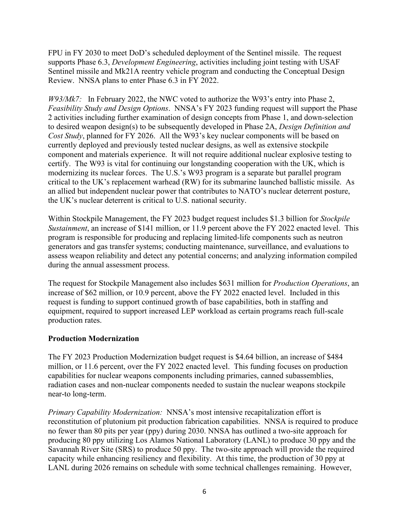FPU in FY 2030 to meet DoD's scheduled deployment of the Sentinel missile. The request supports Phase 6.3, *Development Engineering*, activities including joint testing with USAF Sentinel missile and Mk21A reentry vehicle program and conducting the Conceptual Design Review. NNSA plans to enter Phase 6.3 in FY 2022.

*W93/Mk7:* In February 2022, the NWC voted to authorize the W93's entry into Phase 2, *Feasibility Study and Design Options*. NNSA's FY 2023 funding request will support the Phase 2 activities including further examination of design concepts from Phase 1, and down-selection to desired weapon design(s) to be subsequently developed in Phase 2A, *Design Definition and Cost Study*, planned for FY 2026. All the W93's key nuclear components will be based on currently deployed and previously tested nuclear designs, as well as extensive stockpile component and materials experience. It will not require additional nuclear explosive testing to certify. The W93 is vital for continuing our longstanding cooperation with the UK, which is modernizing its nuclear forces. The U.S.'s W93 program is a separate but parallel program critical to the UK's replacement warhead (RW) for its submarine launched ballistic missile. As an allied but independent nuclear power that contributes to NATO's nuclear deterrent posture, the UK's nuclear deterrent is critical to U.S. national security.

Within Stockpile Management, the FY 2023 budget request includes \$1.3 billion for *Stockpile Sustainment*, an increase of \$141 million, or 11.9 percent above the FY 2022 enacted level. This program is responsible for producing and replacing limited-life components such as neutron generators and gas transfer systems; conducting maintenance, surveillance, and evaluations to assess weapon reliability and detect any potential concerns; and analyzing information compiled during the annual assessment process.

The request for Stockpile Management also includes \$631 million for *Production Operations*, an increase of \$62 million, or 10.9 percent, above the FY 2022 enacted level. Included in this request is funding to support continued growth of base capabilities, both in staffing and equipment, required to support increased LEP workload as certain programs reach full-scale production rates.

#### **Production Modernization**

The FY 2023 Production Modernization budget request is \$4.64 billion, an increase of \$484 million, or 11.6 percent, over the FY 2022 enacted level. This funding focuses on production capabilities for nuclear weapons components including primaries, canned subassemblies, radiation cases and non-nuclear components needed to sustain the nuclear weapons stockpile near-to long-term.

*Primary Capability Modernization:* NNSA's most intensive recapitalization effort is reconstitution of plutonium pit production fabrication capabilities. NNSA is required to produce no fewer than 80 pits per year (ppy) during 2030. NNSA has outlined a two-site approach for producing 80 ppy utilizing Los Alamos National Laboratory (LANL) to produce 30 ppy and the Savannah River Site (SRS) to produce 50 ppy. The two-site approach will provide the required capacity while enhancing resiliency and flexibility. At this time, the production of 30 ppy at LANL during 2026 remains on schedule with some technical challenges remaining. However,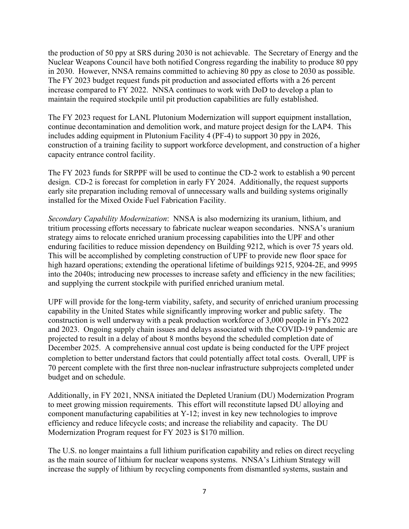the production of 50 ppy at SRS during 2030 is not achievable. The Secretary of Energy and the Nuclear Weapons Council have both notified Congress regarding the inability to produce 80 ppy in 2030. However, NNSA remains committed to achieving 80 ppy as close to 2030 as possible. The FY 2023 budget request funds pit production and associated efforts with a 26 percent increase compared to FY 2022. NNSA continues to work with DoD to develop a plan to maintain the required stockpile until pit production capabilities are fully established.

The FY 2023 request for LANL Plutonium Modernization will support equipment installation, continue decontamination and demolition work, and mature project design for the LAP4. This includes adding equipment in Plutonium Facility 4 (PF-4) to support 30 ppy in 2026, construction of a training facility to support workforce development, and construction of a higher capacity entrance control facility.

The FY 2023 funds for SRPPF will be used to continue the CD-2 work to establish a 90 percent design. CD-2 is forecast for completion in early FY 2024. Additionally, the request supports early site preparation including removal of unnecessary walls and building systems originally installed for the Mixed Oxide Fuel Fabrication Facility.

*Secondary Capability Modernization*: NNSA is also modernizing its uranium, lithium, and tritium processing efforts necessary to fabricate nuclear weapon secondaries. NNSA's uranium strategy aims to relocate enriched uranium processing capabilities into the UPF and other enduring facilities to reduce mission dependency on Building 9212, which is over 75 years old. This will be accomplished by completing construction of UPF to provide new floor space for high hazard operations; extending the operational lifetime of buildings 9215, 9204-2E, and 9995 into the 2040s; introducing new processes to increase safety and efficiency in the new facilities; and supplying the current stockpile with purified enriched uranium metal.

UPF will provide for the long-term viability, safety, and security of enriched uranium processing capability in the United States while significantly improving worker and public safety. The construction is well underway with a peak production workforce of 3,000 people in FYs 2022 and 2023. Ongoing supply chain issues and delays associated with the COVID-19 pandemic are projected to result in a delay of about 8 months beyond the scheduled completion date of December 2025. A comprehensive annual cost update is being conducted for the UPF project completion to better understand factors that could potentially affect total costs. Overall, UPF is 70 percent complete with the first three non-nuclear infrastructure subprojects completed under budget and on schedule.

Additionally, in FY 2021, NNSA initiated the Depleted Uranium (DU) Modernization Program to meet growing mission requirements. This effort will reconstitute lapsed DU alloying and component manufacturing capabilities at Y-12; invest in key new technologies to improve efficiency and reduce lifecycle costs; and increase the reliability and capacity. The DU Modernization Program request for FY 2023 is \$170 million.

The U.S. no longer maintains a full lithium purification capability and relies on direct recycling as the main source of lithium for nuclear weapons systems. NNSA's Lithium Strategy will increase the supply of lithium by recycling components from dismantled systems, sustain and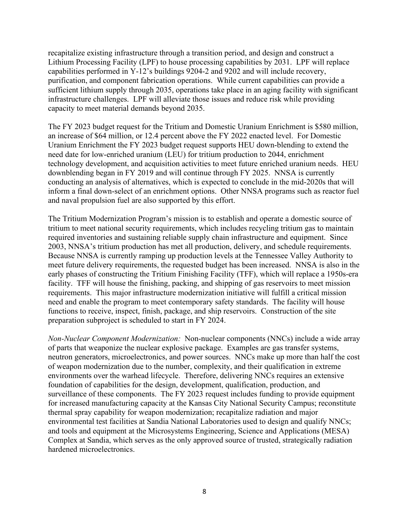recapitalize existing infrastructure through a transition period, and design and construct a Lithium Processing Facility (LPF) to house processing capabilities by 2031. LPF will replace capabilities performed in Y-12's buildings 9204-2 and 9202 and will include recovery, purification, and component fabrication operations. While current capabilities can provide a sufficient lithium supply through 2035, operations take place in an aging facility with significant infrastructure challenges. LPF will alleviate those issues and reduce risk while providing capacity to meet material demands beyond 2035.

The FY 2023 budget request for the Tritium and Domestic Uranium Enrichment is \$580 million, an increase of \$64 million, or 12.4 percent above the FY 2022 enacted level. For Domestic Uranium Enrichment the FY 2023 budget request supports HEU down-blending to extend the need date for low-enriched uranium (LEU) for tritium production to 2044, enrichment technology development, and acquisition activities to meet future enriched uranium needs. HEU downblending began in FY 2019 and will continue through FY 2025. NNSA is currently conducting an analysis of alternatives, which is expected to conclude in the mid-2020s that will inform a final down-select of an enrichment options. Other NNSA programs such as reactor fuel and naval propulsion fuel are also supported by this effort.

The Tritium Modernization Program's mission is to establish and operate a domestic source of tritium to meet national security requirements, which includes recycling tritium gas to maintain required inventories and sustaining reliable supply chain infrastructure and equipment. Since 2003, NNSA's tritium production has met all production, delivery, and schedule requirements. Because NNSA is currently ramping up production levels at the Tennessee Valley Authority to meet future delivery requirements, the requested budget has been increased. NNSA is also in the early phases of constructing the Tritium Finishing Facility (TFF), which will replace a 1950s-era facility. TFF will house the finishing, packing, and shipping of gas reservoirs to meet mission requirements. This major infrastructure modernization initiative will fulfill a critical mission need and enable the program to meet contemporary safety standards. The facility will house functions to receive, inspect, finish, package, and ship reservoirs. Construction of the site preparation subproject is scheduled to start in FY 2024.

*Non-Nuclear Component Modernization:* Non-nuclear components (NNCs) include a wide array of parts that weaponize the nuclear explosive package. Examples are gas transfer systems, neutron generators, microelectronics, and power sources. NNCs make up more than half the cost of weapon modernization due to the number, complexity, and their qualification in extreme environments over the warhead lifecycle. Therefore, delivering NNCs requires an extensive foundation of capabilities for the design, development, qualification, production, and surveillance of these components. The FY 2023 request includes funding to provide equipment for increased manufacturing capacity at the Kansas City National Security Campus; reconstitute thermal spray capability for weapon modernization; recapitalize radiation and major environmental test facilities at Sandia National Laboratories used to design and qualify NNCs; and tools and equipment at the Microsystems Engineering, Science and Applications (MESA) Complex at Sandia, which serves as the only approved source of trusted, strategically radiation hardened microelectronics.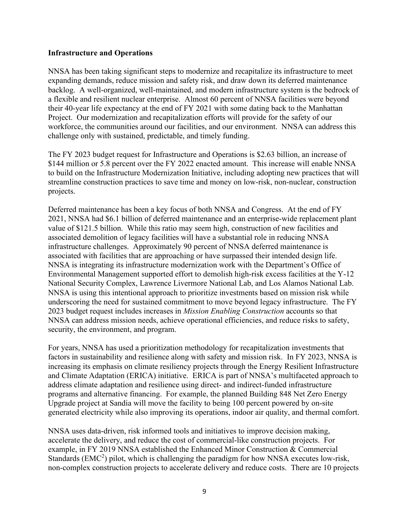#### **Infrastructure and Operations**

NNSA has been taking significant steps to modernize and recapitalize its infrastructure to meet expanding demands, reduce mission and safety risk, and draw down its deferred maintenance backlog. A well-organized, well-maintained, and modern infrastructure system is the bedrock of a flexible and resilient nuclear enterprise. Almost 60 percent of NNSA facilities were beyond their 40-year life expectancy at the end of FY 2021 with some dating back to the Manhattan Project. Our modernization and recapitalization efforts will provide for the safety of our workforce, the communities around our facilities, and our environment. NNSA can address this challenge only with sustained, predictable, and timely funding.

The FY 2023 budget request for Infrastructure and Operations is \$2.63 billion, an increase of \$144 million or 5.8 percent over the FY 2022 enacted amount. This increase will enable NNSA to build on the Infrastructure Modernization Initiative, including adopting new practices that will streamline construction practices to save time and money on low-risk, non-nuclear, construction projects.

Deferred maintenance has been a key focus of both NNSA and Congress. At the end of FY 2021, NNSA had \$6.1 billion of deferred maintenance and an enterprise-wide replacement plant value of \$121.5 billion. While this ratio may seem high, construction of new facilities and associated demolition of legacy facilities will have a substantial role in reducing NNSA infrastructure challenges. Approximately 90 percent of NNSA deferred maintenance is associated with facilities that are approaching or have surpassed their intended design life. NNSA is integrating its infrastructure modernization work with the Department's Office of Environmental Management supported effort to demolish high-risk excess facilities at the Y-12 National Security Complex, Lawrence Livermore National Lab, and Los Alamos National Lab. NNSA is using this intentional approach to prioritize investments based on mission risk while underscoring the need for sustained commitment to move beyond legacy infrastructure. The FY 2023 budget request includes increases in *Mission Enabling Construction* accounts so that NNSA can address mission needs, achieve operational efficiencies, and reduce risks to safety, security, the environment, and program.

For years, NNSA has used a prioritization methodology for recapitalization investments that factors in sustainability and resilience along with safety and mission risk. In FY 2023, NNSA is increasing its emphasis on climate resiliency projects through the Energy Resilient Infrastructure and Climate Adaptation (ERICA) initiative. ERICA is part of NNSA's multifaceted approach to address climate adaptation and resilience using direct- and indirect-funded infrastructure programs and alternative financing. For example, the planned Building 848 Net Zero Energy Upgrade project at Sandia will move the facility to being 100 percent powered by on-site generated electricity while also improving its operations, indoor air quality, and thermal comfort.

NNSA uses data-driven, risk informed tools and initiatives to improve decision making, accelerate the delivery, and reduce the cost of commercial-like construction projects. For example, in FY 2019 NNSA established the Enhanced Minor Construction & Commercial Standards  $(EMC<sup>2</sup>)$  pilot, which is challenging the paradigm for how NNSA executes low-risk, non-complex construction projects to accelerate delivery and reduce costs. There are 10 projects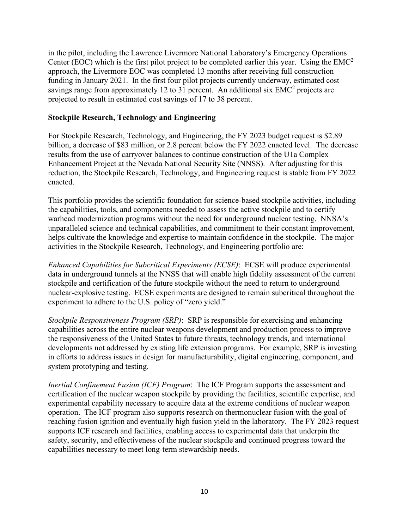in the pilot, including the Lawrence Livermore National Laboratory's Emergency Operations Center (EOC) which is the first pilot project to be completed earlier this year. Using the  $EMC<sup>2</sup>$ approach, the Livermore EOC was completed 13 months after receiving full construction funding in January 2021. In the first four pilot projects currently underway, estimated cost savings range from approximately 12 to 31 percent. An additional six  $EMC<sup>2</sup>$  projects are projected to result in estimated cost savings of 17 to 38 percent.

#### **Stockpile Research, Technology and Engineering**

For Stockpile Research, Technology, and Engineering, the FY 2023 budget request is \$2.89 billion, a decrease of \$83 million, or 2.8 percent below the FY 2022 enacted level. The decrease results from the use of carryover balances to continue construction of the U1a Complex Enhancement Project at the Nevada National Security Site (NNSS). After adjusting for this reduction, the Stockpile Research, Technology, and Engineering request is stable from FY 2022 enacted.

This portfolio provides the scientific foundation for science-based stockpile activities, including the capabilities, tools, and components needed to assess the active stockpile and to certify warhead modernization programs without the need for underground nuclear testing. NNSA's unparalleled science and technical capabilities, and commitment to their constant improvement, helps cultivate the knowledge and expertise to maintain confidence in the stockpile. The major activities in the Stockpile Research, Technology, and Engineering portfolio are:

*Enhanced Capabilities for Subcritical Experiments (ECSE)*: ECSE will produce experimental data in underground tunnels at the NNSS that will enable high fidelity assessment of the current stockpile and certification of the future stockpile without the need to return to underground nuclear-explosive testing. ECSE experiments are designed to remain subcritical throughout the experiment to adhere to the U.S. policy of "zero yield."

*Stockpile Responsiveness Program (SRP)*: SRP is responsible for exercising and enhancing capabilities across the entire nuclear weapons development and production process to improve the responsiveness of the United States to future threats, technology trends, and international developments not addressed by existing life extension programs. For example, SRP is investing in efforts to address issues in design for manufacturability, digital engineering, component, and system prototyping and testing.

*Inertial Confinement Fusion (ICF) Program*: The ICF Program supports the assessment and certification of the nuclear weapon stockpile by providing the facilities, scientific expertise, and experimental capability necessary to acquire data at the extreme conditions of nuclear weapon operation. The ICF program also supports research on thermonuclear fusion with the goal of reaching fusion ignition and eventually high fusion yield in the laboratory. The FY 2023 request supports ICF research and facilities, enabling access to experimental data that underpin the safety, security, and effectiveness of the nuclear stockpile and continued progress toward the capabilities necessary to meet long-term stewardship needs.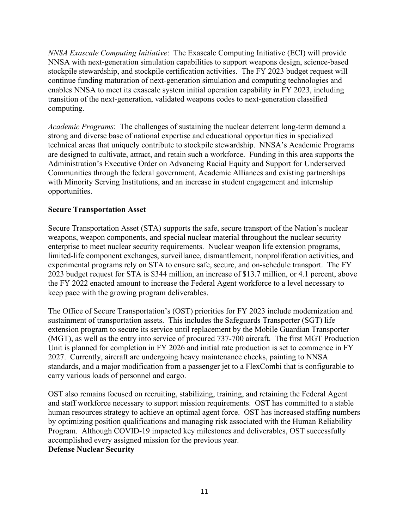*NNSA Exascale Computing Initiative*: The Exascale Computing Initiative (ECI) will provide NNSA with next-generation simulation capabilities to support weapons design, science-based stockpile stewardship, and stockpile certification activities. The FY 2023 budget request will continue funding maturation of next-generation simulation and computing technologies and enables NNSA to meet its exascale system initial operation capability in FY 2023, including transition of the next-generation, validated weapons codes to next-generation classified computing.

*Academic Programs*: The challenges of sustaining the nuclear deterrent long-term demand a strong and diverse base of national expertise and educational opportunities in specialized technical areas that uniquely contribute to stockpile stewardship. NNSA's Academic Programs are designed to cultivate, attract, and retain such a workforce. Funding in this area supports the Administration's Executive Order on Advancing Racial Equity and Support for Underserved Communities through the federal government, Academic Alliances and existing partnerships with Minority Serving Institutions, and an increase in student engagement and internship opportunities.

### **Secure Transportation Asset**

Secure Transportation Asset (STA) supports the safe, secure transport of the Nation's nuclear weapons, weapon components, and special nuclear material throughout the nuclear security enterprise to meet nuclear security requirements. Nuclear weapon life extension programs, limited-life component exchanges, surveillance, dismantlement, nonproliferation activities, and experimental programs rely on STA to ensure safe, secure, and on-schedule transport. The FY 2023 budget request for STA is \$344 million, an increase of \$13.7 million, or 4.1 percent, above the FY 2022 enacted amount to increase the Federal Agent workforce to a level necessary to keep pace with the growing program deliverables.

The Office of Secure Transportation's (OST) priorities for FY 2023 include modernization and sustainment of transportation assets. This includes the Safeguards Transporter (SGT) life extension program to secure its service until replacement by the Mobile Guardian Transporter (MGT), as well as the entry into service of procured 737-700 aircraft. The first MGT Production Unit is planned for completion in FY 2026 and initial rate production is set to commence in FY 2027. Currently, aircraft are undergoing heavy maintenance checks, painting to NNSA standards, and a major modification from a passenger jet to a FlexCombi that is configurable to carry various loads of personnel and cargo.

OST also remains focused on recruiting, stabilizing, training, and retaining the Federal Agent and staff workforce necessary to support mission requirements. OST has committed to a stable human resources strategy to achieve an optimal agent force. OST has increased staffing numbers by optimizing position qualifications and managing risk associated with the Human Reliability Program. Although COVID-19 impacted key milestones and deliverables, OST successfully accomplished every assigned mission for the previous year. **Defense Nuclear Security**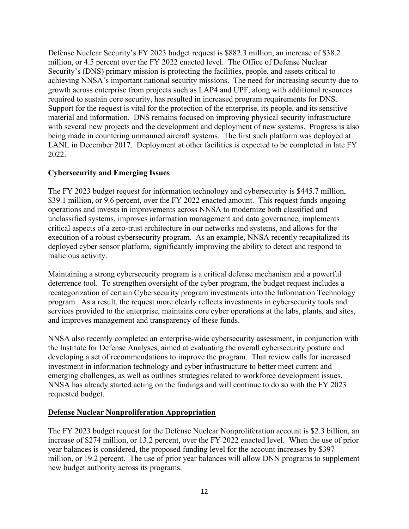Defense Nuclear Security's FY 2023 budget request is \$882.3 million, an increase of \$38.2 million, or 4.5 percent over the FY 2022 enacted level. The Office of Defense Nuclear Security's (DNS) primary mission is protecting the facilities, people, and assets critical to achieving NNSA's important national security missions. The need for increasing security due to growth across enterprise from projects such as LAP4 and UPF, along with additional resources required to sustain core security, has resulted in increased program requirements for DNS. Support for the request is vital for the protection of the enterprise, its people, and its sensitive material and information. DNS remains focused on improving physical security infrastructure with several new projects and the development and deployment of new systems. Progress is also being made in countering unmanned aircraft systems. The first such platform was deployed at LANL in December 2017. Deployment at other facilities is expected to be completed in late FY 2022.

### **Cybersecurity and Emerging Issues**

The FY 2023 budget request for information technology and cybersecurity is \$445.7 million, \$39.1 million, or 9.6 percent, over the FY 2022 enacted amount. This request funds ongoing operations and invests in improvements across NNSA to modernize both classified and unclassified systems, improves information management and data governance, implements critical aspects of a zero-trust architecture in our networks and systems, and allows for the execution of a robust cybersecurity program. As an example, NNSA recently recapitalized its deployed cyber sensor platform, significantly improving the ability to detect and respond to malicious activity.

Maintaining a strong cybersecurity program is a critical defense mechanism and a powerful deterrence tool. To strengthen oversight of the cyber program, the budget request includes a recategorization of certain Cybersecurity program investments into the Information Technology program. As a result, the request more clearly reflects investments in cybersecurity tools and services provided to the enterprise, maintains core cyber operations at the labs, plants, and sites, and improves management and transparency of these funds.

NNSA also recently completed an enterprise-wide cybersecurity assessment, in conjunction with the Institute for Defense Analyses, aimed at evaluating the overall cybersecurity posture and developing a set of recommendations to improve the program. That review calls for increased investment in information technology and cyber infrastructure to better meet current and emerging challenges, as well as outlines strategies related to workforce development issues. NNSA has already started acting on the findings and will continue to do so with the FY 2023 requested budget.

### **Defense Nuclear Nonproliferation Appropriation**

The FY 2023 budget request for the Defense Nuclear Nonproliferation account is \$2.3 billion, an increase of \$274 million, or 13.2 percent, over the FY 2022 enacted level. When the use of prior year balances is considered, the proposed funding level for the account increases by \$397 million, or 19.2 percent. The use of prior year balances will allow DNN programs to supplement new budget authority across its programs.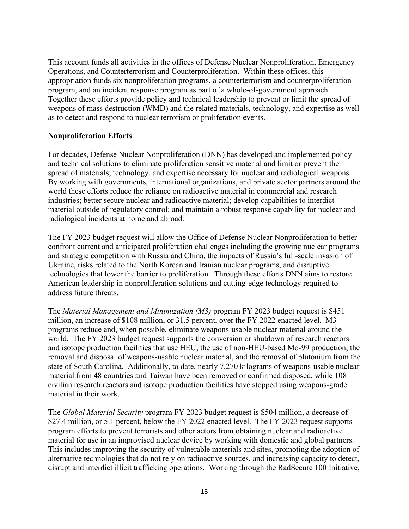This account funds all activities in the offices of Defense Nuclear Nonproliferation, Emergency Operations, and Counterterrorism and Counterproliferation. Within these offices, this appropriation funds six nonproliferation programs, a counterterrorism and counterproliferation program, and an incident response program as part of a whole-of-government approach. Together these efforts provide policy and technical leadership to prevent or limit the spread of weapons of mass destruction (WMD) and the related materials, technology, and expertise as well as to detect and respond to nuclear terrorism or proliferation events.

#### **Nonproliferation Efforts**

For decades, Defense Nuclear Nonproliferation (DNN) has developed and implemented policy and technical solutions to eliminate proliferation sensitive material and limit or prevent the spread of materials, technology, and expertise necessary for nuclear and radiological weapons. By working with governments, international organizations, and private sector partners around the world these efforts reduce the reliance on radioactive material in commercial and research industries; better secure nuclear and radioactive material; develop capabilities to interdict material outside of regulatory control; and maintain a robust response capability for nuclear and radiological incidents at home and abroad.

The FY 2023 budget request will allow the Office of Defense Nuclear Nonproliferation to better confront current and anticipated proliferation challenges including the growing nuclear programs and strategic competition with Russia and China, the impacts of Russia's full-scale invasion of Ukraine, risks related to the North Korean and Iranian nuclear programs, and disruptive technologies that lower the barrier to proliferation. Through these efforts DNN aims to restore American leadership in nonproliferation solutions and cutting-edge technology required to address future threats.

The *Material Management and Minimization (M3)* program FY 2023 budget request is \$451 million, an increase of \$108 million, or 31.5 percent, over the FY 2022 enacted level. M3 programs reduce and, when possible, eliminate weapons-usable nuclear material around the world. The FY 2023 budget request supports the conversion or shutdown of research reactors and isotope production facilities that use HEU, the use of non-HEU-based Mo-99 production, the removal and disposal of weapons-usable nuclear material, and the removal of plutonium from the state of South Carolina. Additionally, to date, nearly 7,270 kilograms of weapons-usable nuclear material from 48 countries and Taiwan have been removed or confirmed disposed, while 108 civilian research reactors and isotope production facilities have stopped using weapons-grade material in their work.

The *Global Material Security* program FY 2023 budget request is \$504 million, a decrease of \$27.4 million, or 5.1 percent, below the FY 2022 enacted level. The FY 2023 request supports program efforts to prevent terrorists and other actors from obtaining nuclear and radioactive material for use in an improvised nuclear device by working with domestic and global partners. This includes improving the security of vulnerable materials and sites, promoting the adoption of alternative technologies that do not rely on radioactive sources, and increasing capacity to detect, disrupt and interdict illicit trafficking operations. Working through the RadSecure 100 Initiative,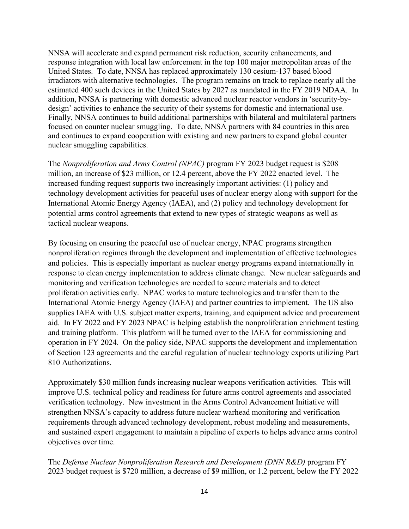NNSA will accelerate and expand permanent risk reduction, security enhancements, and response integration with local law enforcement in the top 100 major metropolitan areas of the United States. To date, NNSA has replaced approximately 130 cesium-137 based blood irradiators with alternative technologies. The program remains on track to replace nearly all the estimated 400 such devices in the United States by 2027 as mandated in the FY 2019 NDAA. In addition, NNSA is partnering with domestic advanced nuclear reactor vendors in 'security-bydesign' activities to enhance the security of their systems for domestic and international use. Finally, NNSA continues to build additional partnerships with bilateral and multilateral partners focused on counter nuclear smuggling. To date, NNSA partners with 84 countries in this area and continues to expand cooperation with existing and new partners to expand global counter nuclear smuggling capabilities.

The *Nonproliferation and Arms Control (NPAC)* program FY 2023 budget request is \$208 million, an increase of \$23 million, or 12.4 percent, above the FY 2022 enacted level. The increased funding request supports two increasingly important activities: (1) policy and technology development activities for peaceful uses of nuclear energy along with support for the International Atomic Energy Agency (IAEA), and (2) policy and technology development for potential arms control agreements that extend to new types of strategic weapons as well as tactical nuclear weapons.

By focusing on ensuring the peaceful use of nuclear energy, NPAC programs strengthen nonproliferation regimes through the development and implementation of effective technologies and policies. This is especially important as nuclear energy programs expand internationally in response to clean energy implementation to address climate change. New nuclear safeguards and monitoring and verification technologies are needed to secure materials and to detect proliferation activities early. NPAC works to mature technologies and transfer them to the International Atomic Energy Agency (IAEA) and partner countries to implement. The US also supplies IAEA with U.S. subject matter experts, training, and equipment advice and procurement aid. In FY 2022 and FY 2023 NPAC is helping establish the nonproliferation enrichment testing and training platform. This platform will be turned over to the IAEA for commissioning and operation in FY 2024. On the policy side, NPAC supports the development and implementation of Section 123 agreements and the careful regulation of nuclear technology exports utilizing Part 810 Authorizations.

Approximately \$30 million funds increasing nuclear weapons verification activities. This will improve U.S. technical policy and readiness for future arms control agreements and associated verification technology. New investment in the Arms Control Advancement Initiative will strengthen NNSA's capacity to address future nuclear warhead monitoring and verification requirements through advanced technology development, robust modeling and measurements, and sustained expert engagement to maintain a pipeline of experts to helps advance arms control objectives over time.

The *Defense Nuclear Nonproliferation Research and Development (DNN R&D)* program FY 2023 budget request is \$720 million, a decrease of \$9 million, or 1.2 percent, below the FY 2022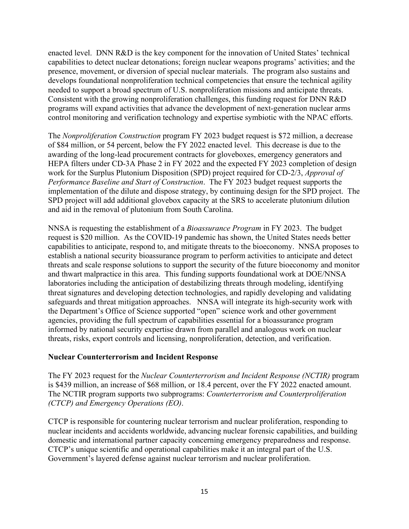enacted level. DNN R&D is the key component for the innovation of United States' technical capabilities to detect nuclear detonations; foreign nuclear weapons programs' activities; and the presence, movement, or diversion of special nuclear materials. The program also sustains and develops foundational nonproliferation technical competencies that ensure the technical agility needed to support a broad spectrum of U.S. nonproliferation missions and anticipate threats. Consistent with the growing nonproliferation challenges, this funding request for DNN R&D programs will expand activities that advance the development of next-generation nuclear arms control monitoring and verification technology and expertise symbiotic with the NPAC efforts.

The *Nonproliferation Construction* program FY 2023 budget request is \$72 million, a decrease of \$84 million, or 54 percent, below the FY 2022 enacted level. This decrease is due to the awarding of the long-lead procurement contracts for gloveboxes, emergency generators and HEPA filters under CD-3A Phase 2 in FY 2022 and the expected FY 2023 completion of design work for the Surplus Plutonium Disposition (SPD) project required for CD-2/3, *Approval of Performance Baseline and Start of Construction*. The FY 2023 budget request supports the implementation of the dilute and dispose strategy, by continuing design for the SPD project. The SPD project will add additional glovebox capacity at the SRS to accelerate plutonium dilution and aid in the removal of plutonium from South Carolina.

NNSA is requesting the establishment of a *Bioassurance Program* in FY 2023. The budget request is \$20 million. As the COVID-19 pandemic has shown, the United States needs better capabilities to anticipate, respond to, and mitigate threats to the bioeconomy. NNSA proposes to establish a national security bioassurance program to perform activities to anticipate and detect threats and scale response solutions to support the security of the future bioeconomy and monitor and thwart malpractice in this area. This funding supports foundational work at DOE/NNSA laboratories including the anticipation of destabilizing threats through modeling, identifying threat signatures and developing detection technologies, and rapidly developing and validating safeguards and threat mitigation approaches. NNSA will integrate its high-security work with the Department's Office of Science supported "open" science work and other government agencies, providing the full spectrum of capabilities essential for a bioassurance program informed by national security expertise drawn from parallel and analogous work on nuclear threats, risks, export controls and licensing, nonproliferation, detection, and verification.

#### **Nuclear Counterterrorism and Incident Response**

The FY 2023 request for the *Nuclear Counterterrorism and Incident Response (NCTIR)* program is \$439 million, an increase of \$68 million, or 18.4 percent, over the FY 2022 enacted amount. The NCTIR program supports two subprograms: *Counterterrorism and Counterproliferation (CTCP) and Emergency Operations (EO)*.

CTCP is responsible for countering nuclear terrorism and nuclear proliferation, responding to nuclear incidents and accidents worldwide, advancing nuclear forensic capabilities, and building domestic and international partner capacity concerning emergency preparedness and response. CTCP's unique scientific and operational capabilities make it an integral part of the U.S. Government's layered defense against nuclear terrorism and nuclear proliferation.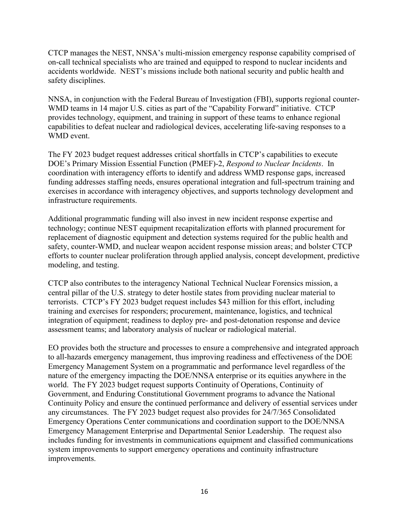CTCP manages the NEST, NNSA's multi-mission emergency response capability comprised of on-call technical specialists who are trained and equipped to respond to nuclear incidents and accidents worldwide. NEST's missions include both national security and public health and safety disciplines.

NNSA, in conjunction with the Federal Bureau of Investigation (FBI), supports regional counter-WMD teams in 14 major U.S. cities as part of the "Capability Forward" initiative. CTCP provides technology, equipment, and training in support of these teams to enhance regional capabilities to defeat nuclear and radiological devices, accelerating life-saving responses to a WMD event.

The FY 2023 budget request addresses critical shortfalls in CTCP's capabilities to execute DOE's Primary Mission Essential Function (PMEF)-2, *Respond to Nuclear Incidents*. In coordination with interagency efforts to identify and address WMD response gaps, increased funding addresses staffing needs, ensures operational integration and full-spectrum training and exercises in accordance with interagency objectives, and supports technology development and infrastructure requirements.

Additional programmatic funding will also invest in new incident response expertise and technology; continue NEST equipment recapitalization efforts with planned procurement for replacement of diagnostic equipment and detection systems required for the public health and safety, counter-WMD, and nuclear weapon accident response mission areas; and bolster CTCP efforts to counter nuclear proliferation through applied analysis, concept development, predictive modeling, and testing.

CTCP also contributes to the interagency National Technical Nuclear Forensics mission, a central pillar of the U.S. strategy to deter hostile states from providing nuclear material to terrorists. CTCP's FY 2023 budget request includes \$43 million for this effort, including training and exercises for responders; procurement, maintenance, logistics, and technical integration of equipment; readiness to deploy pre- and post-detonation response and device assessment teams; and laboratory analysis of nuclear or radiological material.

EO provides both the structure and processes to ensure a comprehensive and integrated approach to all-hazards emergency management, thus improving readiness and effectiveness of the DOE Emergency Management System on a programmatic and performance level regardless of the nature of the emergency impacting the DOE/NNSA enterprise or its equities anywhere in the world. The FY 2023 budget request supports Continuity of Operations, Continuity of Government, and Enduring Constitutional Government programs to advance the National Continuity Policy and ensure the continued performance and delivery of essential services under any circumstances. The FY 2023 budget request also provides for 24/7/365 Consolidated Emergency Operations Center communications and coordination support to the DOE/NNSA Emergency Management Enterprise and Departmental Senior Leadership. The request also includes funding for investments in communications equipment and classified communications system improvements to support emergency operations and continuity infrastructure improvements.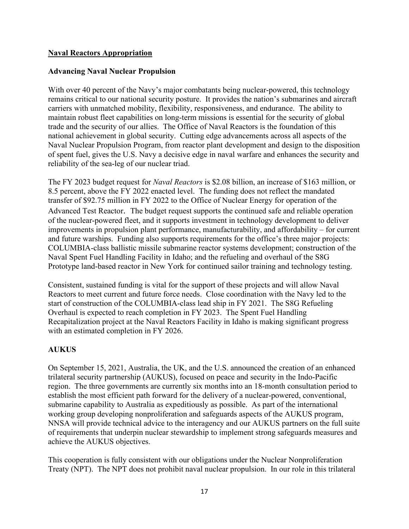#### **Naval Reactors Appropriation**

#### **Advancing Naval Nuclear Propulsion**

With over 40 percent of the Navy's major combatants being nuclear-powered, this technology remains critical to our national security posture. It provides the nation's submarines and aircraft carriers with unmatched mobility, flexibility, responsiveness, and endurance. The ability to maintain robust fleet capabilities on long-term missions is essential for the security of global trade and the security of our allies. The Office of Naval Reactors is the foundation of this national achievement in global security. Cutting edge advancements across all aspects of the Naval Nuclear Propulsion Program, from reactor plant development and design to the disposition of spent fuel, gives the U.S. Navy a decisive edge in naval warfare and enhances the security and reliability of the sea-leg of our nuclear triad.

The FY 2023 budget request for *Naval Reactors* is \$2.08 billion, an increase of \$163 million, or 8.5 percent, above the FY 2022 enacted level. The funding does not reflect the mandated transfer of \$92.75 million in FY 2022 to the Office of Nuclear Energy for operation of the Advanced Test Reactor. The budget request supports the continued safe and reliable operation of the nuclear-powered fleet, and it supports investment in technology development to deliver improvements in propulsion plant performance, manufacturability, and affordability – for current and future warships. Funding also supports requirements for the office's three major projects: COLUMBIA-class ballistic missile submarine reactor systems development; construction of the Naval Spent Fuel Handling Facility in Idaho; and the refueling and overhaul of the S8G Prototype land-based reactor in New York for continued sailor training and technology testing.

Consistent, sustained funding is vital for the support of these projects and will allow Naval Reactors to meet current and future force needs. Close coordination with the Navy led to the start of construction of the COLUMBIA-class lead ship in FY 2021. The S8G Refueling Overhaul is expected to reach completion in FY 2023. The Spent Fuel Handling Recapitalization project at the Naval Reactors Facility in Idaho is making significant progress with an estimated completion in FY 2026.

### **AUKUS**

On September 15, 2021, Australia, the UK, and the U.S. announced the creation of an enhanced trilateral security partnership (AUKUS), focused on peace and security in the Indo-Pacific region. The three governments are currently six months into an 18-month consultation period to establish the most efficient path forward for the delivery of a nuclear-powered, conventional, submarine capability to Australia as expeditiously as possible. As part of the international working group developing nonproliferation and safeguards aspects of the AUKUS program, NNSA will provide technical advice to the interagency and our AUKUS partners on the full suite of requirements that underpin nuclear stewardship to implement strong safeguards measures and achieve the AUKUS objectives.

This cooperation is fully consistent with our obligations under the Nuclear Nonproliferation Treaty (NPT). The NPT does not prohibit naval nuclear propulsion. In our role in this trilateral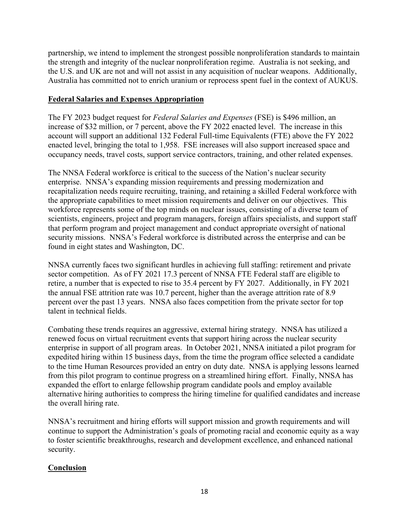partnership, we intend to implement the strongest possible nonproliferation standards to maintain the strength and integrity of the nuclear nonproliferation regime. Australia is not seeking, and the U.S. and UK are not and will not assist in any acquisition of nuclear weapons. Additionally, Australia has committed not to enrich uranium or reprocess spent fuel in the context of AUKUS.

### **Federal Salaries and Expenses Appropriation**

The FY 2023 budget request for *Federal Salaries and Expenses* (FSE) is \$496 million, an increase of \$32 million, or 7 percent, above the FY 2022 enacted level. The increase in this account will support an additional 132 Federal Full-time Equivalents (FTE) above the FY 2022 enacted level, bringing the total to 1,958. FSE increases will also support increased space and occupancy needs, travel costs, support service contractors, training, and other related expenses.

The NNSA Federal workforce is critical to the success of the Nation's nuclear security enterprise. NNSA's expanding mission requirements and pressing modernization and recapitalization needs require recruiting, training, and retaining a skilled Federal workforce with the appropriate capabilities to meet mission requirements and deliver on our objectives. This workforce represents some of the top minds on nuclear issues, consisting of a diverse team of scientists, engineers, project and program managers, foreign affairs specialists, and support staff that perform program and project management and conduct appropriate oversight of national security missions. NNSA's Federal workforce is distributed across the enterprise and can be found in eight states and Washington, DC.

NNSA currently faces two significant hurdles in achieving full staffing: retirement and private sector competition. As of FY 2021 17.3 percent of NNSA FTE Federal staff are eligible to retire, a number that is expected to rise to 35.4 percent by FY 2027. Additionally, in FY 2021 the annual FSE attrition rate was 10.7 percent, higher than the average attrition rate of 8.9 percent over the past 13 years. NNSA also faces competition from the private sector for top talent in technical fields.

Combating these trends requires an aggressive, external hiring strategy. NNSA has utilized a renewed focus on virtual recruitment events that support hiring across the nuclear security enterprise in support of all program areas. In October 2021, NNSA initiated a pilot program for expedited hiring within 15 business days, from the time the program office selected a candidate to the time Human Resources provided an entry on duty date. NNSA is applying lessons learned from this pilot program to continue progress on a streamlined hiring effort. Finally, NNSA has expanded the effort to enlarge fellowship program candidate pools and employ available alternative hiring authorities to compress the hiring timeline for qualified candidates and increase the overall hiring rate.

NNSA's recruitment and hiring efforts will support mission and growth requirements and will continue to support the Administration's goals of promoting racial and economic equity as a way to foster scientific breakthroughs, research and development excellence, and enhanced national security.

# **Conclusion**